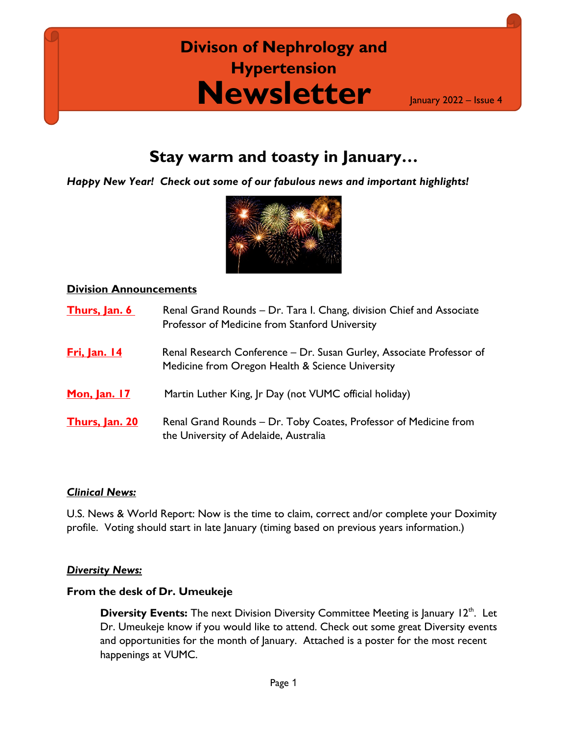## **Newsletter Divison of Nephrology and Hypertension**

January 2022 – Issue 4

### **Stay warm and toasty in January…**

*Happy New Year! Check out some of our fabulous news and important highlights!*



#### **Division Announcements**

| Thurs, Jan. 6         | Renal Grand Rounds - Dr. Tara I. Chang, division Chief and Associate<br>Professor of Medicine from Stanford University   |
|-----------------------|--------------------------------------------------------------------------------------------------------------------------|
| <b>Fri, Jan. 14</b>   | Renal Research Conference – Dr. Susan Gurley, Associate Professor of<br>Medicine from Oregon Health & Science University |
| Mon, Jan. 17          | Martin Luther King, Jr Day (not VUMC official holiday)                                                                   |
| <b>Thurs, Jan. 20</b> | Renal Grand Rounds - Dr. Toby Coates, Professor of Medicine from<br>the University of Adelaide, Australia                |

#### *Clinical News:*

U.S. News & World Report: Now is the time to claim, correct and/or complete your Doximity profile. Voting should start in late January (timing based on previous years information.)

#### *Diversity News:*

#### **From the desk of Dr. Umeukeje**

**Diversity Events:** The next Division Diversity Committee Meeting is January 12<sup>th</sup>. Let Dr. Umeukeje know if you would like to attend. Check out some great Diversity events and opportunities for the month of January.Attached is a poster for the most recent happenings at VUMC.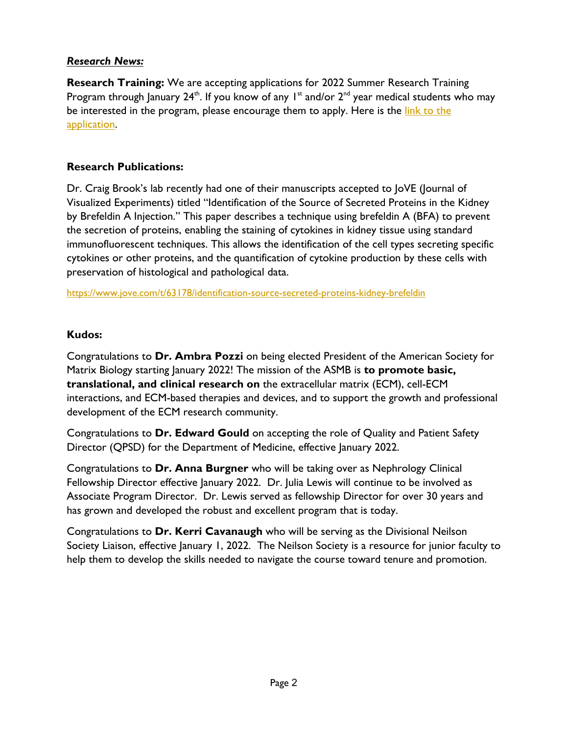#### *Research News:*

**Research Training:** We are accepting applications for 2022 Summer Research Training Program through January  $24<sup>th</sup>$ . If you know of any  $1<sup>st</sup>$  and/or  $2<sup>nd</sup>$  year medical students who may be interested in the program, please encourage them to apply. Here is the link to the [application.](https://nam12.safelinks.protection.outlook.com/?url=https%3A%2F%2Fredcap.vanderbilt.edu%2Fsurveys%2F%3Fs%3DFNCM8WNJEPN9T4DW&data=04%7C01%7Csavannah.sumatra%40vumc.org%7C1bfe8595ed434dcb6aea08d9c645e05b%7Cef57503014244ed8b83c12c533d879ab%7C0%7C0%7C637758825685600549%7CUnknown%7CTWFpbGZsb3d8eyJWIjoiMC4wLjAwMDAiLCJQIjoiV2luMzIiLCJBTiI6Ik1haWwiLCJXVCI6Mn0%3D%7C3000&sdata=UV3Go4HXCHDomYfP27qjs63PJ5bYYrqfaDlYdsnVpJ8%3D&reserved=0)

#### **Research Publications:**

Dr. Craig Brook's lab recently had one of their manuscripts accepted to JoVE (Journal of Visualized Experiments) titled "Identification of the Source of Secreted Proteins in the Kidney by Brefeldin A Injection." This paper describes a technique using brefeldin A (BFA) to prevent the secretion of proteins, enabling the staining of cytokines in kidney tissue using standard immunofluorescent techniques. This allows the identification of the cell types secreting specific cytokines or other proteins, and the quantification of cytokine production by these cells with preservation of histological and pathological data.

[https://www.jove.com/t/63178/identification-source-secreted-proteins-kidney-brefeldin](https://nam12.safelinks.protection.outlook.com/?url=https%3A%2F%2Fwww.jove.com%2Ft%2F63178%2Fidentification-source-secreted-proteins-kidney-brefeldin&data=04%7C01%7Csavannah.sumatra%40vumc.org%7C0b40231ea2604db54a2608d9c0e6cc0b%7Cef57503014244ed8b83c12c533d879ab%7C0%7C0%7C637752919766808129%7CUnknown%7CTWFpbGZsb3d8eyJWIjoiMC4wLjAwMDAiLCJQIjoiV2luMzIiLCJBTiI6Ik1haWwiLCJXVCI6Mn0%3D%7C3000&sdata=GZXTmy8lVYKc08K9lxD1UIzqP%2F08r9%2FGr9L5TwYkPLc%3D&reserved=0)

#### **Kudos:**

Congratulations to **Dr. Ambra Pozzi** on being elected President of the American Society for Matrix Biology starting January 2022! The mission of the ASMB is **to promote basic, translational, and clinical research on** the extracellular matrix (ECM), cell-ECM interactions, and ECM-based therapies and devices, and to support the growth and professional development of the ECM research community.

Congratulations to **Dr. Edward Gould** on accepting the role of Quality and Patient Safety Director (QPSD) for the Department of Medicine, effective January 2022.

Congratulations to **Dr. Anna Burgner** who will be taking over as Nephrology Clinical Fellowship Director effective January 2022. Dr. Julia Lewis will continue to be involved as Associate Program Director. Dr. Lewis served as fellowship Director for over 30 years and has grown and developed the robust and excellent program that is today.

Congratulations to **Dr. Kerri Cavanaugh** who will be serving as the Divisional Neilson Society Liaison, effective January 1, 2022. The Neilson Society is a resource for junior faculty to help them to develop the skills needed to navigate the course toward tenure and promotion.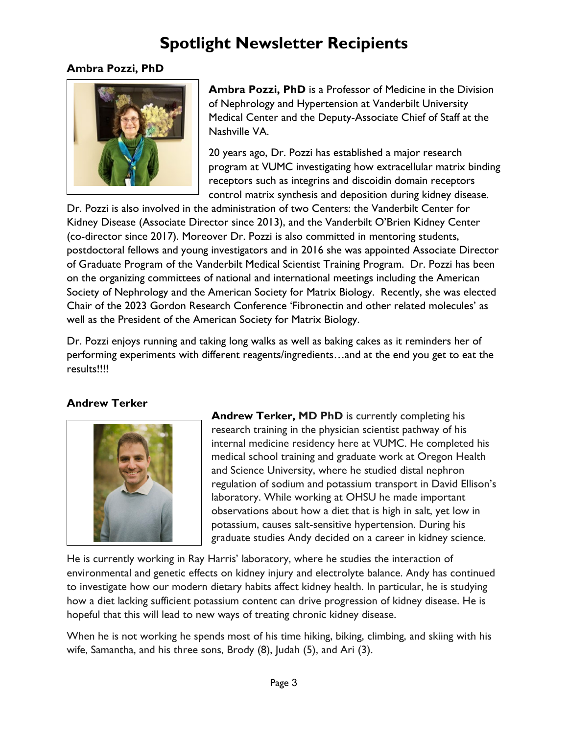## **Spotlight Newsletter Recipients**

#### **Ambra Pozzi, PhD**



**Ambra Pozzi, PhD** is a Professor of Medicine in the Division of Nephrology and Hypertension at Vanderbilt University Medical Center and the Deputy-Associate Chief of Staff at the Nashville VA.

20 years ago, Dr. Pozzi has established a major research program at VUMC investigating how extracellular matrix binding receptors such as integrins and discoidin domain receptors control matrix synthesis and deposition during kidney disease.

Dr. Pozzi is also involved in the administration of two Centers: the Vanderbilt Center for Kidney Disease (Associate Director since 2013), and the Vanderbilt O'Brien Kidney Center (co-director since 2017). Moreover Dr. Pozzi is also committed in mentoring students, postdoctoral fellows and young investigators and in 2016 she was appointed Associate Director of Graduate Program of the Vanderbilt Medical Scientist Training Program. Dr. Pozzi has been on the organizing committees of national and international meetings including the American Society of Nephrology and the American Society for Matrix Biology. Recently, she was elected Chair of the 2023 Gordon Research Conference 'Fibronectin and other related molecules' as well as the President of the American Society for Matrix Biology.

Dr. Pozzi enjoys running and taking long walks as well as baking cakes as it reminders her of performing experiments with different reagents/ingredients…and at the end you get to eat the results!!!!

#### **Andrew Terker**



**Andrew Terker, MD PhD** is currently completing his research training in the physician scientist pathway of his internal medicine residency here at VUMC. He completed his medical school training and graduate work at Oregon Health and Science University, where he studied distal nephron regulation of sodium and potassium transport in David Ellison's laboratory. While working at OHSU he made important observations about how a diet that is high in salt, yet low in potassium, causes salt-sensitive hypertension. During his graduate studies Andy decided on a career in kidney science.

He is currently working in Ray Harris' laboratory, where he studies the interaction of environmental and genetic effects on kidney injury and electrolyte balance. Andy has continued to investigate how our modern dietary habits affect kidney health. In particular, he is studying how a diet lacking sufficient potassium content can drive progression of kidney disease. He is hopeful that this will lead to new ways of treating chronic kidney disease.

When he is not working he spends most of his time hiking, biking, climbing, and skiing with his wife, Samantha, and his three sons, Brody (8), Judah (5), and Ari (3).